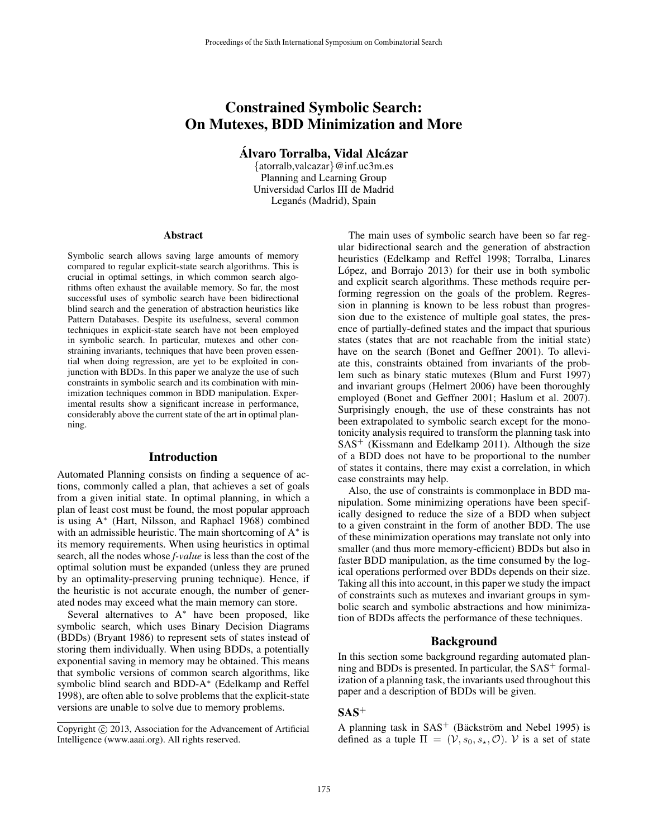# Constrained Symbolic Search: On Mutexes, BDD Minimization and More

Alvaro Torralba, Vidal Alcázar

{atorralb,valcazar}@inf.uc3m.es Planning and Learning Group Universidad Carlos III de Madrid Leganés (Madrid), Spain

#### Abstract

Symbolic search allows saving large amounts of memory compared to regular explicit-state search algorithms. This is crucial in optimal settings, in which common search algorithms often exhaust the available memory. So far, the most successful uses of symbolic search have been bidirectional blind search and the generation of abstraction heuristics like Pattern Databases. Despite its usefulness, several common techniques in explicit-state search have not been employed in symbolic search. In particular, mutexes and other constraining invariants, techniques that have been proven essential when doing regression, are yet to be exploited in conjunction with BDDs. In this paper we analyze the use of such constraints in symbolic search and its combination with minimization techniques common in BDD manipulation. Experimental results show a significant increase in performance, considerably above the current state of the art in optimal planning.

### Introduction

Automated Planning consists on finding a sequence of actions, commonly called a plan, that achieves a set of goals from a given initial state. In optimal planning, in which a plan of least cost must be found, the most popular approach is using A<sup>∗</sup> (Hart, Nilsson, and Raphael 1968) combined with an admissible heuristic. The main shortcoming of A<sup>∗</sup> is its memory requirements. When using heuristics in optimal search, all the nodes whose *f-value* is less than the cost of the optimal solution must be expanded (unless they are pruned by an optimality-preserving pruning technique). Hence, if the heuristic is not accurate enough, the number of generated nodes may exceed what the main memory can store.

Several alternatives to A<sup>∗</sup> have been proposed, like symbolic search, which uses Binary Decision Diagrams (BDDs) (Bryant 1986) to represent sets of states instead of storing them individually. When using BDDs, a potentially exponential saving in memory may be obtained. This means that symbolic versions of common search algorithms, like symbolic blind search and BDD-A<sup>∗</sup> (Edelkamp and Reffel 1998), are often able to solve problems that the explicit-state versions are unable to solve due to memory problems.

The main uses of symbolic search have been so far regular bidirectional search and the generation of abstraction heuristics (Edelkamp and Reffel 1998; Torralba, Linares López, and Borrajo 2013) for their use in both symbolic and explicit search algorithms. These methods require performing regression on the goals of the problem. Regression in planning is known to be less robust than progression due to the existence of multiple goal states, the presence of partially-defined states and the impact that spurious states (states that are not reachable from the initial state) have on the search (Bonet and Geffner 2001). To alleviate this, constraints obtained from invariants of the problem such as binary static mutexes (Blum and Furst 1997) and invariant groups (Helmert 2006) have been thoroughly employed (Bonet and Geffner 2001; Haslum et al. 2007). Surprisingly enough, the use of these constraints has not been extrapolated to symbolic search except for the monotonicity analysis required to transform the planning task into  $SAS<sup>+</sup>$  (Kissmann and Edelkamp 2011). Although the size of a BDD does not have to be proportional to the number of states it contains, there may exist a correlation, in which case constraints may help.

Also, the use of constraints is commonplace in BDD manipulation. Some minimizing operations have been specifically designed to reduce the size of a BDD when subject to a given constraint in the form of another BDD. The use of these minimization operations may translate not only into smaller (and thus more memory-efficient) BDDs but also in faster BDD manipulation, as the time consumed by the logical operations performed over BDDs depends on their size. Taking all this into account, in this paper we study the impact of constraints such as mutexes and invariant groups in symbolic search and symbolic abstractions and how minimization of BDDs affects the performance of these techniques.

#### Background

In this section some background regarding automated planning and BDDs is presented. In particular, the  $SAS<sup>+</sup>$  formalization of a planning task, the invariants used throughout this paper and a description of BDDs will be given.

# $SAS<sup>+</sup>$

A planning task in  $SAS<sup>+</sup>$  (Bäckström and Nebel 1995) is defined as a tuple  $\Pi = (\mathcal{V}, s_0, s_*, \mathcal{O})$ . V is a set of state

Copyright (c) 2013, Association for the Advancement of Artificial Intelligence (www.aaai.org). All rights reserved.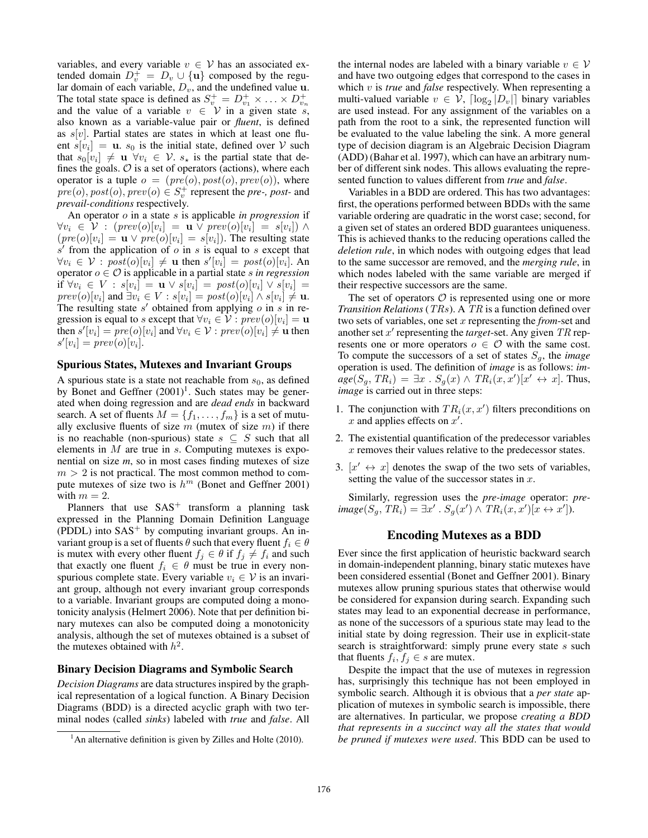variables, and every variable  $v \in V$  has an associated extended domain  $D_v^+ = D_v \cup {\bf{u}}$  composed by the regular domain of each variable,  $D_v$ , and the undefined value u. The total state space is defined as  $S_v^+ = D_{v_1}^+ \times \ldots \times D_{v_n}^+$ <br>and the value of a variable  $v \in V$  in a given state s, also known as a variable-value pair or *fluent*, is defined as  $s[v]$ . Partial states are states in which at least one fluent  $s[v_i] = \mathbf{u}$ .  $s_0$  is the initial state, defined over V such that  $s_0[v_i] \neq \mathbf{u} \ \forall v_i \in \mathcal{V}$ .  $s_{\star}$  is the partial state that defines the goals.  $O$  is a set of operators (actions), where each operator is a tuple  $o = (pre(o), post(o), prev(o)),$  where  $\text{pre}(o), \text{post}(o), \text{prev}(o) \in S_v^+$  represent the *pre-*, *post-* and *prevail-conditions* respectively.

An operator o in a state s is applicable *in progression* if  $\forall v_i \in \mathcal{V} : (prev(o)[v_i] = \mathbf{u} \lor prev(o)[v_i] = s[v_i]) \land$  $(pre(o)[v_i] = \mathbf{u} \lor pre(o)[v_i] = s[v_i]$ ). The resulting state  $s'$  from the application of  $o$  in  $s$  is equal to  $s$  except that  $\forall v_i \in \mathcal{V} : post(o)[v_i] \neq \mathbf{u}$  then  $s'[v_i] = post(o)[v_i]$ . An operator  $o \in \mathcal{O}$  is applicable in a partial state *s in regression* if  $\forall v_i \in V : s[v_i] = \mathbf{u} \vee s[v_i] = post(o)[v_i] \vee s[v_i] =$  $prev(o)[v_i]$  and  $\exists v_i \in V : s[v_i] = post(o)[v_i] \wedge s[v_i] \neq \mathbf{u}$ . The resulting state  $s'$  obtained from applying  $o$  in  $s$  in regression is equal to s except that  $\forall v_i \in \mathcal{V} : \text{prev}(o)[v_i] = \mathbf{u}$ then  $s'[v_i] = pre(o)[v_i]$  and  $\forall v_i \in \mathcal{V} : prev(o)[v_i] \neq \mathbf{u}$  then  $s'[v_i] = prev(o)[v_i].$ 

### Spurious States, Mutexes and Invariant Groups

A spurious state is a state not reachable from  $s_0$ , as defined by Bonet and Geffner  $(2001)^1$ . Such states may be generated when doing regression and are *dead ends* in backward search. A set of fluents  $M = \{f_1, \ldots, f_m\}$  is a set of mutually exclusive fluents of size  $m$  (mutex of size  $m$ ) if there is no reachable (non-spurious) state  $s \subseteq S$  such that all elements in  $M$  are true in  $s$ . Computing mutexes is exponential on size *m*, so in most cases finding mutexes of size  $m > 2$  is not practical. The most common method to compute mutexes of size two is  $h^m$  (Bonet and Geffner 2001) with  $m = 2$ .

Planners that use  $SAS<sup>+</sup>$  transform a planning task expressed in the Planning Domain Definition Language  $( P D D L)$  into  $SAS<sup>+</sup>$  by computing invariant groups. An invariant group is a set of fluents  $\theta$  such that every fluent  $f_i \in \theta$ is mutex with every other fluent  $f_i \in \theta$  if  $f_i \neq f_i$  and such that exactly one fluent  $f_i \in \theta$  must be true in every nonspurious complete state. Every variable  $v_i \in V$  is an invariant group, although not every invariant group corresponds to a variable. Invariant groups are computed doing a monotonicity analysis (Helmert 2006). Note that per definition binary mutexes can also be computed doing a monotonicity analysis, although the set of mutexes obtained is a subset of the mutexes obtained with  $h^2$ .

#### Binary Decision Diagrams and Symbolic Search

*Decision Diagrams* are data structures inspired by the graphical representation of a logical function. A Binary Decision Diagrams (BDD) is a directed acyclic graph with two terminal nodes (called *sinks*) labeled with *true* and *false*. All

the internal nodes are labeled with a binary variable  $v \in V$ and have two outgoing edges that correspond to the cases in which v is *true* and *false* respectively. When representing a multi-valued variable  $v \in V$ ,  $\lceil \log_2 |D_v| \rceil$  binary variables are used instead. For any assignment of the variables on a path from the root to a sink, the represented function will be evaluated to the value labeling the sink. A more general type of decision diagram is an Algebraic Decision Diagram (ADD) (Bahar et al. 1997), which can have an arbitrary number of different sink nodes. This allows evaluating the represented function to values different from *true* and *false*.

Variables in a BDD are ordered. This has two advantages: first, the operations performed between BDDs with the same variable ordering are quadratic in the worst case; second, for a given set of states an ordered BDD guarantees uniqueness. This is achieved thanks to the reducing operations called the *deletion rule*, in which nodes with outgoing edges that lead to the same successor are removed, and the *merging rule*, in which nodes labeled with the same variable are merged if their respective successors are the same.

The set of operators  $\mathcal O$  is represented using one or more *Transition Relations* (TRs). A TR is a function defined over two sets of variables, one set x representing the *from*-set and another set  $x'$  representing the *target*-set. Any given  $TR$  represents one or more operators  $o \in \mathcal{O}$  with the same cost. To compute the successors of a set of states  $S_q$ , the *image* operation is used. The definition of *image* is as follows: *im* $age(S_g, TR_i) = \exists x \cdot S_g(x) \wedge TR_i(x, x')[x' \leftrightarrow x]$ . Thus, *image* is carried out in three steps:

- 1. The conjunction with  $TR_i(x, x')$  filters preconditions on x and applies effects on  $x'$ .
- 2. The existential quantification of the predecessor variables x removes their values relative to the predecessor states.
- 3.  $[x' \leftrightarrow x]$  denotes the swap of the two sets of variables, setting the value of the successor states in  $x$ .

Similarly, regression uses the *pre-image* operator: *pre* $image(S_g, TR_i) = \exists x' \cdot S_g(x') \wedge TR_i(x, x')[x \leftrightarrow x'].$ 

### Encoding Mutexes as a BDD

Ever since the first application of heuristic backward search in domain-independent planning, binary static mutexes have been considered essential (Bonet and Geffner 2001). Binary mutexes allow pruning spurious states that otherwise would be considered for expansion during search. Expanding such states may lead to an exponential decrease in performance, as none of the successors of a spurious state may lead to the initial state by doing regression. Their use in explicit-state search is straightforward: simply prune every state  $s$  such that fluents  $f_i, f_j \in s$  are mutex.

Despite the impact that the use of mutexes in regression has, surprisingly this technique has not been employed in symbolic search. Although it is obvious that a *per state* application of mutexes in symbolic search is impossible, there are alternatives. In particular, we propose *creating a BDD that represents in a succinct way all the states that would be pruned if mutexes were used*. This BDD can be used to

 $<sup>1</sup>$ An alternative definition is given by Zilles and Holte (2010).</sup>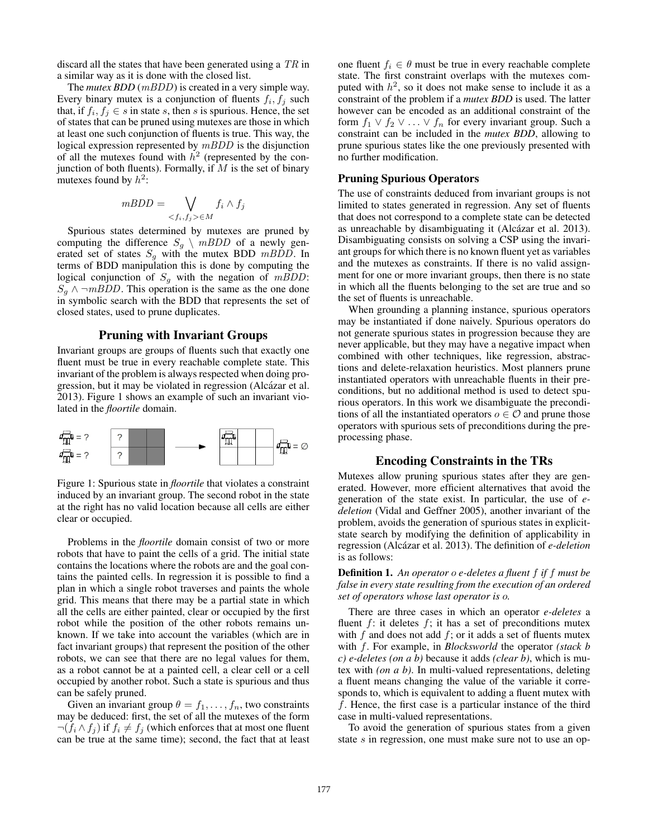discard all the states that have been generated using a TR in a similar way as it is done with the closed list.

The *mutex BDD* (*mBDD*) is created in a very simple way. Every binary mutex is a conjunction of fluents  $f_i, f_j$  such that, if  $f_i, f_j \in s$  in state s, then s is spurious. Hence, the set of states that can be pruned using mutexes are those in which at least one such conjunction of fluents is true. This way, the logical expression represented by mBDD is the disjunction of all the mutexes found with  $h^2$  (represented by the conjunction of both fluents). Formally, if  $M$  is the set of binary mutexes found by  $h^2$ :

$$
mBDD = \bigvee_{f_i, f_j > \in M} f_i \wedge f_j
$$

Spurious states determined by mutexes are pruned by computing the difference  $S_g \setminus mBDD$  of a newly generated set of states  $S<sub>g</sub>$  with the mutex BDD mBDD. In terms of BDD manipulation this is done by computing the logical conjunction of  $S<sub>g</sub>$  with the negation of mBDD:  $S_g \wedge \neg mBDD$ . This operation is the same as the one done in symbolic search with the BDD that represents the set of closed states, used to prune duplicates.

### Pruning with Invariant Groups

Invariant groups are groups of fluents such that exactly one fluent must be true in every reachable complete state. This invariant of the problem is always respected when doing progression, but it may be violated in regression (Alcázar et al. 2013). Figure 1 shows an example of such an invariant violated in the *floortile* domain.



Figure 1: Spurious state in *floortile* that violates a constraint induced by an invariant group. The second robot in the state at the right has no valid location because all cells are either clear or occupied.

Problems in the *floortile* domain consist of two or more robots that have to paint the cells of a grid. The initial state contains the locations where the robots are and the goal contains the painted cells. In regression it is possible to find a plan in which a single robot traverses and paints the whole grid. This means that there may be a partial state in which all the cells are either painted, clear or occupied by the first robot while the position of the other robots remains unknown. If we take into account the variables (which are in fact invariant groups) that represent the position of the other robots, we can see that there are no legal values for them, as a robot cannot be at a painted cell, a clear cell or a cell occupied by another robot. Such a state is spurious and thus can be safely pruned.

Given an invariant group  $\theta = f_1, \ldots, f_n$ , two constraints may be deduced: first, the set of all the mutexes of the form  $\neg(f_i \wedge f_j)$  if  $f_i \neq f_j$  (which enforces that at most one fluent can be true at the same time); second, the fact that at least

one fluent  $f_i \in \theta$  must be true in every reachable complete state. The first constraint overlaps with the mutexes computed with  $h^2$ , so it does not make sense to include it as a constraint of the problem if a *mutex BDD* is used. The latter however can be encoded as an additional constraint of the form  $f_1 \vee f_2 \vee \ldots \vee f_n$  for every invariant group. Such a constraint can be included in the *mutex BDD*, allowing to prune spurious states like the one previously presented with no further modification.

### Pruning Spurious Operators

The use of constraints deduced from invariant groups is not limited to states generated in regression. Any set of fluents that does not correspond to a complete state can be detected as unreachable by disambiguating it (Alcázar et al. 2013). Disambiguating consists on solving a CSP using the invariant groups for which there is no known fluent yet as variables and the mutexes as constraints. If there is no valid assignment for one or more invariant groups, then there is no state in which all the fluents belonging to the set are true and so the set of fluents is unreachable.

When grounding a planning instance, spurious operators may be instantiated if done naively. Spurious operators do not generate spurious states in progression because they are never applicable, but they may have a negative impact when combined with other techniques, like regression, abstractions and delete-relaxation heuristics. Most planners prune instantiated operators with unreachable fluents in their preconditions, but no additional method is used to detect spurious operators. In this work we disambiguate the preconditions of all the instantiated operators  $o \in \mathcal{O}$  and prune those operators with spurious sets of preconditions during the preprocessing phase.

## Encoding Constraints in the TRs

Mutexes allow pruning spurious states after they are generated. However, more efficient alternatives that avoid the generation of the state exist. In particular, the use of *edeletion* (Vidal and Geffner 2005), another invariant of the problem, avoids the generation of spurious states in explicitstate search by modifying the definition of applicability in regression (Alcázar et al. 2013). The definition of *e-deletion* is as follows:

Definition 1. *An operator* o *e-deletes a fluent* f *if* f *must be false in every state resulting from the execution of an ordered set of operators whose last operator is* o*.*

There are three cases in which an operator *e-deletes* a fluent  $f$ : it deletes  $f$ ; it has a set of preconditions mutex with  $f$  and does not add  $f$ ; or it adds a set of fluents mutex with f. For example, in *Blocksworld* the operator *(stack b c) e-deletes (on a b)* because it adds *(clear b)*, which is mutex with *(on a b)*. In multi-valued representations, deleting a fluent means changing the value of the variable it corresponds to, which is equivalent to adding a fluent mutex with f. Hence, the first case is a particular instance of the third case in multi-valued representations.

To avoid the generation of spurious states from a given state s in regression, one must make sure not to use an op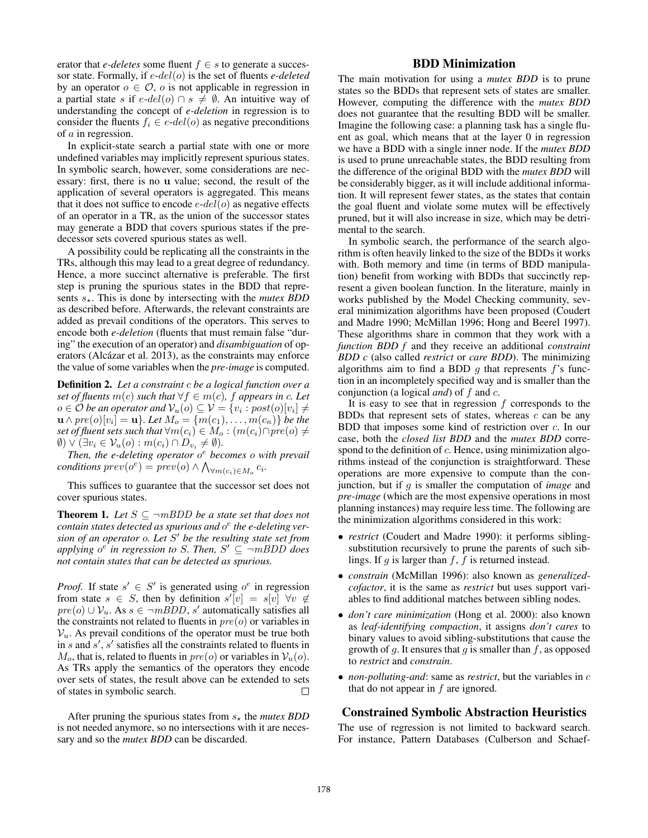erator that *e-deletes* some fluent  $f \in s$  to generate a successor state. Formally, if e-del(o) is the set of fluents *e-deleted* by an operator  $o \in \mathcal{O}$ , *o* is not applicable in regression in a partial state s if  $e$ -del(o) ∩ s  $\neq$  Ø. An intuitive way of understanding the concept of *e-deletion* in regression is to consider the fluents  $f_i \in e$ -del(o) as negative preconditions of a in regression.

In explicit-state search a partial state with one or more undefined variables may implicitly represent spurious states. In symbolic search, however, some considerations are necessary: first, there is no u value; second, the result of the application of several operators is aggregated. This means that it does not suffice to encode  $e$ - $del(o)$  as negative effects of an operator in a TR, as the union of the successor states may generate a BDD that covers spurious states if the predecessor sets covered spurious states as well.

A possibility could be replicating all the constraints in the TRs, although this may lead to a great degree of redundancy. Hence, a more succinct alternative is preferable. The first step is pruning the spurious states in the BDD that represents  $s_{\star}$ . This is done by intersecting with the *mutex BDD* as described before. Afterwards, the relevant constraints are added as prevail conditions of the operators. This serves to encode both *e-deletion* (fluents that must remain false "during" the execution of an operator) and *disambiguation* of operators (Alcázar et al. 2013), as the constraints may enforce the value of some variables when the *pre-image* is computed.

Definition 2. *Let a constraint* c *be a logical function over a set of fluents*  $m(c)$  *such that*  $\forall f \in m(c)$ *, f appears in c. Let*  $o \in \mathcal{O}$  be an operator and  $\mathcal{V}_u(o) \subseteq \mathcal{V} = \{v_i : post(o)[v_i] \neq \emptyset\}$  $\mathbf{u} \wedge pre(o)[v_i] = \mathbf{u} \}$ *. Let*  $M_o = \{m(c_1), \ldots, m(c_n)\}$  *be the set of fluent sets such that*  $\forall m(c_i) \in M_o : (m(c_i) \cap pre(o) \neq \emptyset)$  $\emptyset$ )  $\vee$   $(\exists v_i \in V_u(o) : m(c_i) \cap D_{v_i} \neq \emptyset).$ 

*Then, the e-deleting operator* o <sup>e</sup> *becomes* o *with prevail*  $conditions\ prev(o^e) = \text{prev}(o) \land \bigwedge_{\forall m(c_i) \in M_o} c_i.$ 

This suffices to guarantee that the successor set does not cover spurious states.

**Theorem 1.** Let  $S \subseteq \neg mBDD$  be a state set that does not *contain states detected as spurious and* o e *the e-deleting version of an operator* o*. Let* S <sup>0</sup> *be the resulting state set from* applying  $o^e$  in regression to *S*. Then,  $S' \subseteq \neg mBDD$  does *not contain states that can be detected as spurious.*

*Proof.* If state  $s' \in S'$  is generated using  $o^e$  in regression from state  $s \in S$ , then by definition  $s'[v] = s[v] \ \forall v \notin S$  $pre(o) \cup V_u$ . As  $s \in \neg mBDD$ , s' automatically satisfies all the constraints not related to fluents in  $pre(o)$  or variables in  $V_u$ . As prevail conditions of the operator must be true both in  $s$  and  $s'$ ,  $s'$  satisfies all the constraints related to fluents in  $M_o$ , that is, related to fluents in  $pre(o)$  or variables in  $V_u(o)$ . As TRs apply the semantics of the operators they encode over sets of states, the result above can be extended to sets of states in symbolic search.  $\Box$ 

After pruning the spurious states from  $s_{\star}$  the *mutex BDD* is not needed anymore, so no intersections with it are necessary and so the *mutex BDD* can be discarded.

# BDD Minimization

The main motivation for using a *mutex BDD* is to prune states so the BDDs that represent sets of states are smaller. However, computing the difference with the *mutex BDD* does not guarantee that the resulting BDD will be smaller. Imagine the following case: a planning task has a single fluent as goal, which means that at the layer 0 in regression we have a BDD with a single inner node. If the *mutex BDD* is used to prune unreachable states, the BDD resulting from the difference of the original BDD with the *mutex BDD* will be considerably bigger, as it will include additional information. It will represent fewer states, as the states that contain the goal fluent and violate some mutex will be effectively pruned, but it will also increase in size, which may be detrimental to the search.

In symbolic search, the performance of the search algorithm is often heavily linked to the size of the BDDs it works with. Both memory and time (in terms of BDD manipulation) benefit from working with BDDs that succinctly represent a given boolean function. In the literature, mainly in works published by the Model Checking community, several minimization algorithms have been proposed (Coudert and Madre 1990; McMillan 1996; Hong and Beerel 1997). These algorithms share in common that they work with a *function BDD f* and they receive an additional *constraint BDD c* (also called *restrict* or *care BDD*). The minimizing algorithms aim to find a BDD  $q$  that represents  $f$ 's function in an incompletely specified way and is smaller than the conjunction (a logical *and*) of f and c.

It is easy to see that in regression  $f$  corresponds to the BDDs that represent sets of states, whereas  $c$  can be any BDD that imposes some kind of restriction over c. In our case, both the *closed list BDD* and the *mutex BDD* correspond to the definition of c. Hence, using minimization algorithms instead of the conjunction is straightforward. These operations are more expensive to compute than the conjunction, but if g is smaller the computation of *image* and *pre-image* (which are the most expensive operations in most planning instances) may require less time. The following are the minimization algorithms considered in this work:

- *restrict* (Coudert and Madre 1990): it performs siblingsubstitution recursively to prune the parents of such siblings. If q is larger than  $f$ ,  $f$  is returned instead.
- *constrain* (McMillan 1996): also known as *generalizedcofactor*, it is the same as *restrict* but uses support variables to find additional matches between sibling nodes.
- *don't care minimization* (Hong et al. 2000): also known as *leaf-identifying compaction*, it assigns *don't cares* to binary values to avoid sibling-substitutions that cause the growth of g. It ensures that g is smaller than f, as opposed to *restrict* and *constrain*.
- *non-polluting-and*: same as *restrict*, but the variables in c that do not appear in f are ignored.

# Constrained Symbolic Abstraction Heuristics

The use of regression is not limited to backward search. For instance, Pattern Databases (Culberson and Schaef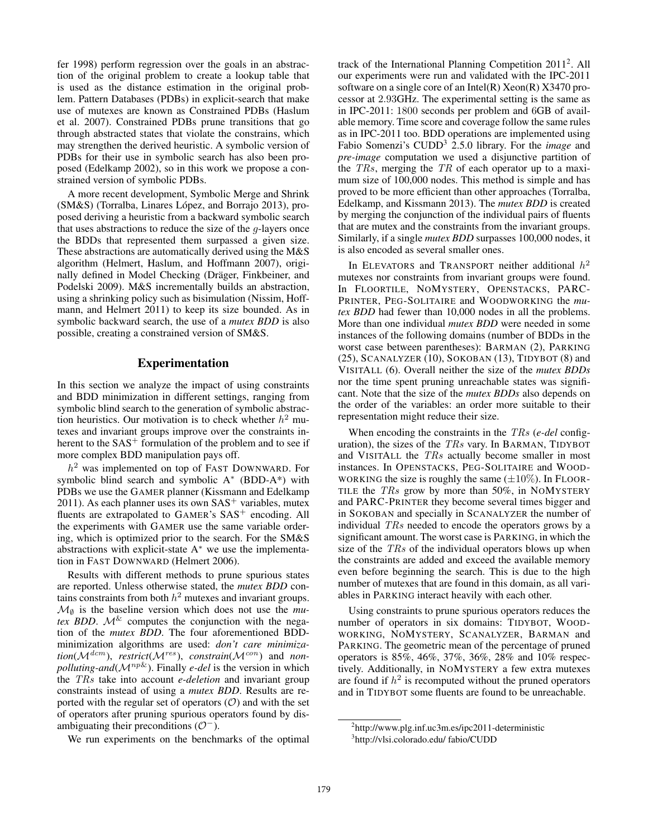fer 1998) perform regression over the goals in an abstraction of the original problem to create a lookup table that is used as the distance estimation in the original problem. Pattern Databases (PDBs) in explicit-search that make use of mutexes are known as Constrained PDBs (Haslum et al. 2007). Constrained PDBs prune transitions that go through abstracted states that violate the constrains, which may strengthen the derived heuristic. A symbolic version of PDBs for their use in symbolic search has also been proposed (Edelkamp 2002), so in this work we propose a constrained version of symbolic PDBs.

A more recent development, Symbolic Merge and Shrink  $(SM&S)$  (Torralba, Linares López, and Borrajo 2013), proposed deriving a heuristic from a backward symbolic search that uses abstractions to reduce the size of the  $q$ -layers once the BDDs that represented them surpassed a given size. These abstractions are automatically derived using the M&S algorithm (Helmert, Haslum, and Hoffmann 2007), originally defined in Model Checking (Dräger, Finkbeiner, and Podelski 2009). M&S incrementally builds an abstraction, using a shrinking policy such as bisimulation (Nissim, Hoffmann, and Helmert 2011) to keep its size bounded. As in symbolic backward search, the use of a *mutex BDD* is also possible, creating a constrained version of SM&S.

## Experimentation

In this section we analyze the impact of using constraints and BDD minimization in different settings, ranging from symbolic blind search to the generation of symbolic abstraction heuristics. Our motivation is to check whether  $h^2$  mutexes and invariant groups improve over the constraints inherent to the  $SAS<sup>+</sup>$  formulation of the problem and to see if more complex BDD manipulation pays off.

 $h<sup>2</sup>$  was implemented on top of FAST DOWNWARD. For symbolic blind search and symbolic A<sup>\*</sup> (BDD-A<sup>\*</sup>) with PDBs we use the GAMER planner (Kissmann and Edelkamp 2011). As each planner uses its own  $SAS<sup>+</sup>$  variables, mutex fluents are extrapolated to GAMER's SAS<sup>+</sup> encoding. All the experiments with GAMER use the same variable ordering, which is optimized prior to the search. For the SM&S abstractions with explicit-state  $A^*$  we use the implementation in FAST DOWNWARD (Helmert 2006).

Results with different methods to prune spurious states are reported. Unless otherwise stated, the *mutex BDD* contains constraints from both  $h^2$  mutexes and invariant groups.  $\mathcal{M}_{\emptyset}$  is the baseline version which does not use the *mutex BDD.*  $\mathcal{M}^{\&}$  computes the conjunction with the negation of the *mutex BDD*. The four aforementioned BDDminimization algorithms are used: *don't care minimiza* $tion(\mathcal{M}^{dem})$ , *restrict*( $\mathcal{M}^{res}$ ), *constrain*( $\mathcal{M}^{con}$ ) and *nonpolluting-and*( $\mathcal{M}^{np\&}$ ). Finally *e-del* is the version in which the TRs take into account *e-deletion* and invariant group constraints instead of using a *mutex BDD*. Results are reported with the regular set of operators  $(0)$  and with the set of operators after pruning spurious operators found by disambiguating their preconditions  $(\mathcal{O}^{-})$ .

We run experiments on the benchmarks of the optimal

track of the International Planning Competition 2011<sup>2</sup>. All our experiments were run and validated with the IPC-2011 software on a single core of an Intel $(R)$  Xeon $(R)$  X3470 processor at 2.93GHz. The experimental setting is the same as in IPC-2011: 1800 seconds per problem and 6GB of available memory. Time score and coverage follow the same rules as in IPC-2011 too. BDD operations are implemented using Fabio Somenzi's CUDD<sup>3</sup> 2.5.0 library. For the *image* and *pre-image* computation we used a disjunctive partition of the  $TRs$ , merging the  $TR$  of each operator up to a maximum size of 100,000 nodes. This method is simple and has proved to be more efficient than other approaches (Torralba, Edelkamp, and Kissmann 2013). The *mutex BDD* is created by merging the conjunction of the individual pairs of fluents that are mutex and the constraints from the invariant groups. Similarly, if a single *mutex BDD* surpasses 100,000 nodes, it is also encoded as several smaller ones.

In ELEVATORS and TRANSPORT neither additional  $h^2$ mutexes nor constraints from invariant groups were found. In FLOORTILE, NOMYSTERY, OPENSTACKS, PARC-PRINTER, PEG-SOLITAIRE and WOODWORKING the *mutex BDD* had fewer than 10,000 nodes in all the problems. More than one individual *mutex BDD* were needed in some instances of the following domains (number of BDDs in the worst case between parentheses): BARMAN (2), PARKING (25), SCANALYZER (10), SOKOBAN (13), TIDYBOT (8) and VISITALL (6). Overall neither the size of the *mutex BDDs* nor the time spent pruning unreachable states was significant. Note that the size of the *mutex BDDs* also depends on the order of the variables: an order more suitable to their representation might reduce their size.

When encoding the constraints in the TRs (*e-del* configuration), the sizes of the  $TRs$  vary. In BARMAN, TIDYBOT and VISITALL the TRs actually become smaller in most instances. In OPENSTACKS, PEG-SOLITAIRE and WOOD-WORKING the size is roughly the same  $(\pm 10\%)$ . In FLOOR-TILE the TRs grow by more than 50%, in NOMYSTERY and PARC-PRINTER they become several times bigger and in SOKOBAN and specially in SCANALYZER the number of individual TRs needed to encode the operators grows by a significant amount. The worst case is PARKING, in which the size of the *TRs* of the individual operators blows up when the constraints are added and exceed the available memory even before beginning the search. This is due to the high number of mutexes that are found in this domain, as all variables in PARKING interact heavily with each other.

Using constraints to prune spurious operators reduces the number of operators in six domains: TIDYBOT, WOOD-WORKING, NOMYSTERY, SCANALYZER, BARMAN and PARKING. The geometric mean of the percentage of pruned operators is 85%, 46%, 37%, 36%, 28% and 10% respectively. Additionally, in NOMYSTERY a few extra mutexes are found if  $h^2$  is recomputed without the pruned operators and in TIDYBOT some fluents are found to be unreachable.

<sup>2</sup> http://www.plg.inf.uc3m.es/ipc2011-deterministic 3 http://vlsi.colorado.edu/ fabio/CUDD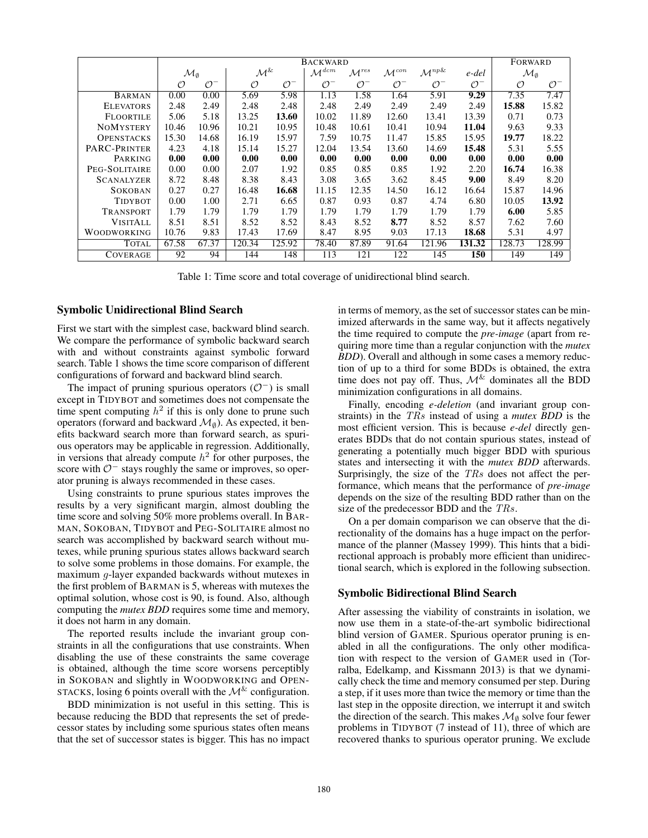|                    | <b>BACKWARD</b>           |                 |                    |                 |                     |                     |                     |                      |                 | FORWARD                   |                 |
|--------------------|---------------------------|-----------------|--------------------|-----------------|---------------------|---------------------|---------------------|----------------------|-----------------|---------------------------|-----------------|
|                    | $\mathcal{M}_{\emptyset}$ |                 | $\mathcal{M}^{\&}$ |                 | $\mathcal{M}^{dcm}$ | $\mathcal{M}^{res}$ | $\mathcal{M}^{con}$ | $\mathcal{M}^{np\&}$ | e-del           | $\mathcal{M}_{\emptyset}$ |                 |
|                    | O                         | $\mathcal{O}^-$ | $\mathcal{O}$      | $\mathcal{O}^-$ | $\mathcal{O}^-$     | $\mathcal{O}^-$     | $\mathcal{O}^-$     | $\mathcal{O}^-$      | $\mathcal{O}^-$ | $\cal{O}$                 | $\mathcal{O}^-$ |
| <b>BARMAN</b>      | 0.00                      | 0.00            | 5.69               | 5.98            | 1.13                | 1.58                | 1.64                | 5.91                 | 9.29            | 7.35                      | 7.47            |
| <b>ELEVATORS</b>   | 2.48                      | 2.49            | 2.48               | 2.48            | 2.48                | 2.49                | 2.49                | 2.49                 | 2.49            | 15.88                     | 15.82           |
| <b>FLOORTILE</b>   | 5.06                      | 5.18            | 13.25              | 13.60           | 10.02               | 11.89               | 12.60               | 13.41                | 13.39           | 0.71                      | 0.73            |
| <b>NOMYSTERY</b>   | 10.46                     | 10.96           | 10.21              | 10.95           | 10.48               | 10.61               | 10.41               | 10.94                | 11.04           | 9.63                      | 9.33            |
| <b>OPENSTACKS</b>  | 15.30                     | 14.68           | 16.19              | 15.97           | 7.59                | 10.75               | 11.47               | 15.85                | 15.95           | 19.77                     | 18.22           |
| PARC-PRINTER       | 4.23                      | 4.18            | 15.14              | 15.27           | 12.04               | 13.54               | 13.60               | 14.69                | 15.48           | 5.31                      | 5.55            |
| PARKING            | 0.00                      | 0.00            | 0.00               | 0.00            | 0.00                | 0.00                | 0.00                | 0.00                 | 0.00            | 0.00                      | 0.00            |
| PEG-SOLITAIRE      | 0.00                      | 0.00            | 2.07               | 1.92            | 0.85                | 0.85                | 0.85                | 1.92                 | 2.20            | 16.74                     | 16.38           |
| <b>SCANALYZER</b>  | 8.72                      | 8.48            | 8.38               | 8.43            | 3.08                | 3.65                | 3.62                | 8.45                 | 9.00            | 8.49                      | 8.20            |
| <b>SOKOBAN</b>     | 0.27                      | 0.27            | 16.48              | 16.68           | 11.15               | 12.35               | 14.50               | 16.12                | 16.64           | 15.87                     | 14.96           |
| <b>TIDYBOT</b>     | 0.00                      | 1.00            | 2.71               | 6.65            | 0.87                | 0.93                | 0.87                | 4.74                 | 6.80            | 10.05                     | 13.92           |
| TRANSPORT          | 1.79                      | 1.79            | 1.79               | 1.79            | 1.79                | 1.79                | 1.79                | 1.79                 | 1.79            | 6.00                      | 5.85            |
| <b>VISITALL</b>    | 8.51                      | 8.51            | 8.52               | 8.52            | 8.43                | 8.52                | 8.77                | 8.52                 | 8.57            | 7.62                      | 7.60            |
| <b>WOODWORKING</b> | 10.76                     | 9.83            | 17.43              | 17.69           | 8.47                | 8.95                | 9.03                | 17.13                | 18.68           | 5.31                      | 4.97            |
| <b>TOTAL</b>       | 67.58                     | 67.37           | 120.34             | 125.92          | 78.40               | 87.89               | 91.64               | 121.96               | 131.32          | 128.73                    | 128.99          |
| <b>COVERAGE</b>    | $\overline{92}$           | 94              | 144                | 148             | 113                 | 121                 | 122                 | 145                  | 150             | 149                       | 149             |

Table 1: Time score and total coverage of unidirectional blind search.

### Symbolic Unidirectional Blind Search

First we start with the simplest case, backward blind search. We compare the performance of symbolic backward search with and without constraints against symbolic forward search. Table 1 shows the time score comparison of different configurations of forward and backward blind search.

The impact of pruning spurious operators  $(\mathcal{O}^-)$  is small except in TIDYBOT and sometimes does not compensate the time spent computing  $h^2$  if this is only done to prune such operators (forward and backward  $\mathcal{M}_{\emptyset}$ ). As expected, it benefits backward search more than forward search, as spurious operators may be applicable in regression. Additionally, in versions that already compute  $h^2$  for other purposes, the score with  $\mathcal{O}^-$  stays roughly the same or improves, so operator pruning is always recommended in these cases.

Using constraints to prune spurious states improves the results by a very significant margin, almost doubling the time score and solving 50% more problems overall. In BAR-MAN, SOKOBAN, TIDYBOT and PEG-SOLITAIRE almost no search was accomplished by backward search without mutexes, while pruning spurious states allows backward search to solve some problems in those domains. For example, the maximum g-layer expanded backwards without mutexes in the first problem of BARMAN is 5, whereas with mutexes the optimal solution, whose cost is 90, is found. Also, although computing the *mutex BDD* requires some time and memory, it does not harm in any domain.

The reported results include the invariant group constraints in all the configurations that use constraints. When disabling the use of these constraints the same coverage is obtained, although the time score worsens perceptibly in SOKOBAN and slightly in WOODWORKING and OPEN-STACKS, losing 6 points overall with the  $\mathcal{M}^{\&}$  configuration.

BDD minimization is not useful in this setting. This is because reducing the BDD that represents the set of predecessor states by including some spurious states often means that the set of successor states is bigger. This has no impact in terms of memory, as the set of successor states can be minimized afterwards in the same way, but it affects negatively the time required to compute the *pre-image* (apart from requiring more time than a regular conjunction with the *mutex BDD*). Overall and although in some cases a memory reduction of up to a third for some BDDs is obtained, the extra time does not pay off. Thus,  $\mathcal{M}^{\&}$  dominates all the BDD minimization configurations in all domains.

Finally, encoding *e-deletion* (and invariant group constraints) in the TRs instead of using a *mutex BDD* is the most efficient version. This is because *e-del* directly generates BDDs that do not contain spurious states, instead of generating a potentially much bigger BDD with spurious states and intersecting it with the *mutex BDD* afterwards. Surprisingly, the size of the TRs does not affect the performance, which means that the performance of *pre-image* depends on the size of the resulting BDD rather than on the size of the predecessor BDD and the TRs.

On a per domain comparison we can observe that the directionality of the domains has a huge impact on the performance of the planner (Massey 1999). This hints that a bidirectional approach is probably more efficient than unidirectional search, which is explored in the following subsection.

## Symbolic Bidirectional Blind Search

After assessing the viability of constraints in isolation, we now use them in a state-of-the-art symbolic bidirectional blind version of GAMER. Spurious operator pruning is enabled in all the configurations. The only other modification with respect to the version of GAMER used in (Torralba, Edelkamp, and Kissmann 2013) is that we dynamically check the time and memory consumed per step. During a step, if it uses more than twice the memory or time than the last step in the opposite direction, we interrupt it and switch the direction of the search. This makes  $\mathcal{M}_{\emptyset}$  solve four fewer problems in TIDYBOT (7 instead of 11), three of which are recovered thanks to spurious operator pruning. We exclude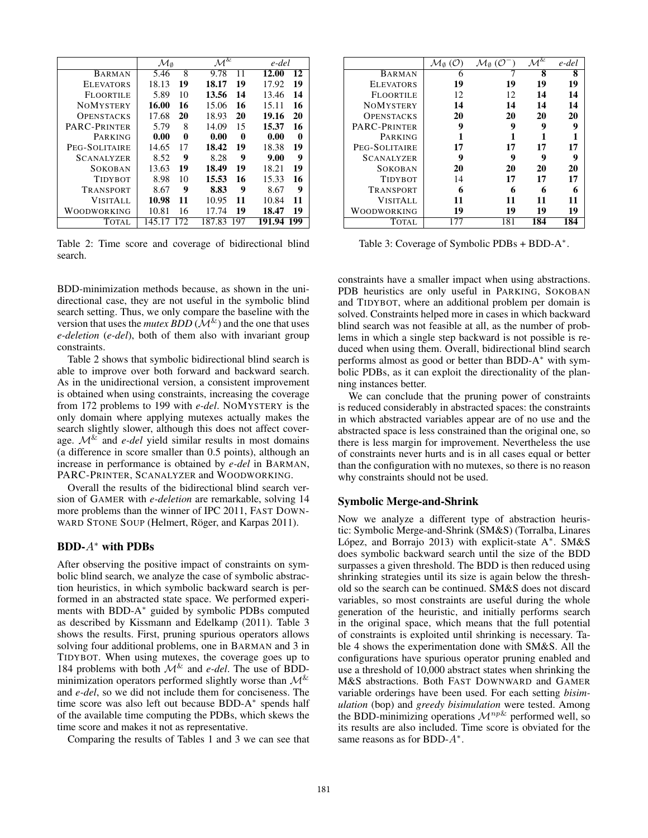|                   | $\mathcal{M}_{\emptyset}$ |     | $\mathcal{M}^{\&}$ |     | e-del  |      |  |
|-------------------|---------------------------|-----|--------------------|-----|--------|------|--|
| <b>BARMAN</b>     | 5.46                      | 8   | 9.78               | 11  | 12.00  | 12   |  |
| <b>ELEVATORS</b>  | 18.13                     | 19  | 18.17              | 19  | 17.92  | 19   |  |
| <b>FLOORTILE</b>  | 5.89                      | 10  | 13.56              | 14  | 13.46  | 14   |  |
| <b>NOMYSTERY</b>  | 16.00                     | 16  | 15.06              | 16  | 15.11  | 16   |  |
| <b>OPENSTACKS</b> | 17.68                     | 20  | 18.93              | 20  | 19.16  | 20   |  |
| PARC-PRINTER      | 5.79                      | 8   | 14.09              | 15  | 15.37  | 16   |  |
| PARKING           | 0.00                      | 0   | 0.00               | 0   | 0.00   | 0    |  |
| PEG-SOLITAIRE     | 14.65                     | 17  | 18.42              | 19  | 18.38  | 19   |  |
| <b>SCANALYZER</b> | 8.52                      | 9   | 8.28               | 9   | 9.00   | 9    |  |
| SOKOBAN           | 13.63                     | 19  | 18.49              | 19  | 18.21  | 19   |  |
| <b>TIDYBOT</b>    | 8.98                      | 10  | 15.53              | 16  | 15.33  | 16   |  |
| TRANSPORT         | 8.67                      | 9   | 8.83               | 9   | 8.67   | 9    |  |
| <b>VISITALL</b>   | 10.98                     | 11  | 10.95              | 11  | 10.84  | 11   |  |
| WOODWORKING       | 10.81                     | 16  | 17.74              | 19  | 18.47  | 19   |  |
| <b>TOTAL</b>      | 145.17                    | 172 | 187.83             | 197 | 191.94 | -199 |  |

Table 2: Time score and coverage of bidirectional blind search.

BDD-minimization methods because, as shown in the unidirectional case, they are not useful in the symbolic blind search setting. Thus, we only compare the baseline with the version that uses the *mutex BDD* ( $\mathcal{M}^{\&}$ ) and the one that uses *e-deletion* (*e-del*), both of them also with invariant group constraints.

Table 2 shows that symbolic bidirectional blind search is able to improve over both forward and backward search. As in the unidirectional version, a consistent improvement is obtained when using constraints, increasing the coverage from 172 problems to 199 with *e-del*. NOMYSTERY is the only domain where applying mutexes actually makes the search slightly slower, although this does not affect coverage.  $\mathcal{M}^{\&}$  and *e-del* yield similar results in most domains (a difference in score smaller than 0.5 points), although an increase in performance is obtained by *e-del* in BARMAN, PARC-PRINTER, SCANALYZER and WOODWORKING.

Overall the results of the bidirectional blind search version of GAMER with *e-deletion* are remarkable, solving 14 more problems than the winner of IPC 2011, FAST DOWN-WARD STONE SOUP (Helmert, Röger, and Karpas 2011).

### BDD-A<sup>∗</sup> with PDBs

After observing the positive impact of constraints on symbolic blind search, we analyze the case of symbolic abstraction heuristics, in which symbolic backward search is performed in an abstracted state space. We performed experiments with BDD-A<sup>∗</sup> guided by symbolic PDBs computed as described by Kissmann and Edelkamp (2011). Table 3 shows the results. First, pruning spurious operators allows solving four additional problems, one in BARMAN and 3 in TIDYBOT. When using mutexes, the coverage goes up to 184 problems with both  $\mathcal{M}^{\&}$  and *e-del*. The use of BDDminimization operators performed slightly worse than  $\mathcal{M}^{\&}$ and *e-del*, so we did not include them for conciseness. The time score was also left out because BDD-A<sup>∗</sup> spends half of the available time computing the PDBs, which skews the time score and makes it not as representative.

Comparing the results of Tables 1 and 3 we can see that

|                   | $\mathcal{M}_{\emptyset}(\mathcal{O})$ | $\mathcal{M}_{\emptyset}$ (O | $\mathcal{M}^{\&}$ | e-del |
|-------------------|----------------------------------------|------------------------------|--------------------|-------|
| <b>BARMAN</b>     | 6                                      |                              | 8                  | 8     |
| <b>ELEVATORS</b>  | 19                                     | 19                           | 19                 | 19    |
| <b>FLOORTILE</b>  | 12                                     | 12                           | 14                 | 14    |
| <b>NOMYSTERY</b>  | 14                                     | 14                           | 14                 | 14    |
| <b>OPENSTACKS</b> | 20                                     | 20                           | 20                 | 20    |
| PARC-PRINTER      | 9                                      | 9                            | 9                  | 9     |
| PARKING           |                                        |                              |                    |       |
| PEG-SOLITAIRE     | 17                                     | 17                           | 17                 | 17    |
| <b>SCANALYZER</b> | 9                                      | 9                            | 9                  | q     |
| <b>SOKOBAN</b>    | 20                                     | 20                           | 20                 | 20    |
| <b>TIDYBOT</b>    | 14                                     | 17                           | 17                 | 17    |
| TRANSPORT         | 6                                      | 6                            | 6                  | 6     |
| <b>VISITALL</b>   | 11                                     | 11                           | 11                 | 11    |
| WOODWORKING       | 19                                     | 19                           | 19                 | 19    |
| <b>TOTAL</b>      | 177                                    | 181                          | 184                | 184   |

Table 3: Coverage of Symbolic PDBs + BDD-A<sup>\*</sup>.

constraints have a smaller impact when using abstractions. PDB heuristics are only useful in PARKING, SOKOBAN and TIDYBOT, where an additional problem per domain is solved. Constraints helped more in cases in which backward blind search was not feasible at all, as the number of problems in which a single step backward is not possible is reduced when using them. Overall, bidirectional blind search performs almost as good or better than BDD-A<sup>∗</sup> with symbolic PDBs, as it can exploit the directionality of the planning instances better.

We can conclude that the pruning power of constraints is reduced considerably in abstracted spaces: the constraints in which abstracted variables appear are of no use and the abstracted space is less constrained than the original one, so there is less margin for improvement. Nevertheless the use of constraints never hurts and is in all cases equal or better than the configuration with no mutexes, so there is no reason why constraints should not be used.

## Symbolic Merge-and-Shrink

Now we analyze a different type of abstraction heuristic: Symbolic Merge-and-Shrink (SM&S) (Torralba, Linares López, and Borrajo 2013) with explicit-state A\*. SM&S does symbolic backward search until the size of the BDD surpasses a given threshold. The BDD is then reduced using shrinking strategies until its size is again below the threshold so the search can be continued. SM&S does not discard variables, so most constraints are useful during the whole generation of the heuristic, and initially performs search in the original space, which means that the full potential of constraints is exploited until shrinking is necessary. Table 4 shows the experimentation done with SM&S. All the configurations have spurious operator pruning enabled and use a threshold of 10,000 abstract states when shrinking the M&S abstractions. Both FAST DOWNWARD and GAMER variable orderings have been used. For each setting *bisimulation* (bop) and *greedy bisimulation* were tested. Among the BDD-minimizing operations  $\mathcal{M}^{np\&}$  performed well, so its results are also included. Time score is obviated for the same reasons as for BDD- $A^*$ .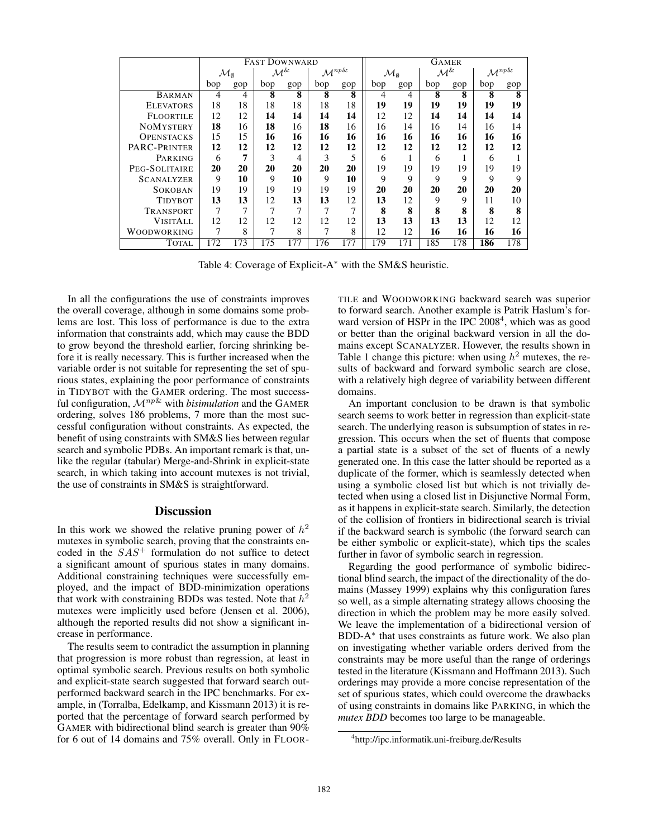|                   | <b>FAST DOWNWARD</b>      |     |                    |     |                      |                         | <b>GAMER</b>              |     |                    |     |                      |                         |
|-------------------|---------------------------|-----|--------------------|-----|----------------------|-------------------------|---------------------------|-----|--------------------|-----|----------------------|-------------------------|
|                   | $\mathcal{M}_{\emptyset}$ |     | $\mathcal{M}^{\&}$ |     | $\mathcal{M}^{np\&}$ |                         | $\mathcal{M}_{\emptyset}$ |     | $\mathcal{M}^{\&}$ |     | $\mathcal{M}^{np\&}$ |                         |
|                   | bop                       | gop | bop                | gop | bop                  | gop                     | bop                       | gop | bop                | gop | bop                  | gop                     |
| <b>BARMAN</b>     | 4                         | 4   | 8                  | 8   | 8                    | $\overline{\mathbf{8}}$ | 4                         | 4   | 8                  | 8   | 8                    | $\overline{\mathbf{8}}$ |
| <b>ELEVATORS</b>  | 18                        | 18  | 18                 | 18  | 18                   | 18                      | 19                        | 19  | 19                 | 19  | 19                   | 19                      |
| <b>FLOORTILE</b>  | 12                        | 12  | 14                 | 14  | 14                   | 14                      | 12                        | 12  | 14                 | 14  | 14                   | 14                      |
| <b>NOMYSTERY</b>  | 18                        | 16  | 18                 | 16  | 18                   | 16                      | 16                        | 14  | 16                 | 14  | 16                   | 14                      |
| <b>OPENSTACKS</b> | 15                        | 15  | 16                 | 16  | 16                   | 16                      | 16                        | 16  | 16                 | 16  | 16                   | 16                      |
| PARC-PRINTER      | 12                        | 12  | 12                 | 12  | 12                   | 12                      | 12                        | 12  | 12                 | 12  | 12                   | 12                      |
| PARKING           | 6                         | 7   | 3                  | 4   | 3                    | 5                       | 6                         | ш   | 6                  |     | 6                    |                         |
| PEG-SOLITAIRE     | 20                        | 20  | 20                 | 20  | 20                   | 20                      | 19                        | 19  | 19                 | 19  | 19                   | 19                      |
| <b>SCANALYZER</b> | 9                         | 10  | 9                  | 10  | 9                    | 10                      | 9                         | 9   | 9                  | 9   | 9                    | 9                       |
| SOKOBAN           | 19                        | 19  | 19                 | 19  | 19                   | 19                      | 20                        | 20  | 20                 | 20  | 20                   | 20                      |
| <b>TIDYBOT</b>    | 13                        | 13  | 12                 | 13  | 13                   | 12                      | 13                        | 12  | 9                  | 9   | 11                   | 10                      |
| TRANSPORT         | 7                         |     | 7                  |     | 7                    | ⇁                       | 8                         | 8   | 8                  | 8   | 8                    | 8                       |
| <b>VISITALL</b>   | 12                        | 12  | 12                 | 12  | 12                   | 12                      | 13                        | 13  | 13                 | 13  | 12                   | 12                      |
| WOODWORKING       |                           | 8   | 7                  | 8   | 7                    | 8                       | 12                        | 12  | 16                 | 16  | 16                   | 16                      |
| <b>TOTAL</b>      | 172                       | 173 | 175                | 177 | 176                  | 177                     | 179                       | 171 | 185                | 178 | 186                  | 178                     |

Table 4: Coverage of Explicit-A<sup>∗</sup> with the SM&S heuristic.

In all the configurations the use of constraints improves the overall coverage, although in some domains some problems are lost. This loss of performance is due to the extra information that constraints add, which may cause the BDD to grow beyond the threshold earlier, forcing shrinking before it is really necessary. This is further increased when the variable order is not suitable for representing the set of spurious states, explaining the poor performance of constraints in TIDYBOT with the GAMER ordering. The most successful configuration,  $\mathcal{M}^{np\&}$  with *bisimulation* and the GAMER ordering, solves 186 problems, 7 more than the most successful configuration without constraints. As expected, the benefit of using constraints with SM&S lies between regular search and symbolic PDBs. An important remark is that, unlike the regular (tabular) Merge-and-Shrink in explicit-state search, in which taking into account mutexes is not trivial, the use of constraints in SM&S is straightforward.

### **Discussion**

In this work we showed the relative pruning power of  $h^2$ mutexes in symbolic search, proving that the constraints encoded in the  $SAS^+$  formulation do not suffice to detect a significant amount of spurious states in many domains. Additional constraining techniques were successfully employed, and the impact of BDD-minimization operations that work with constraining BDDs was tested. Note that  $h^2$ mutexes were implicitly used before (Jensen et al. 2006), although the reported results did not show a significant increase in performance.

The results seem to contradict the assumption in planning that progression is more robust than regression, at least in optimal symbolic search. Previous results on both symbolic and explicit-state search suggested that forward search outperformed backward search in the IPC benchmarks. For example, in (Torralba, Edelkamp, and Kissmann 2013) it is reported that the percentage of forward search performed by GAMER with bidirectional blind search is greater than 90% for 6 out of 14 domains and 75% overall. Only in FLOOR-

TILE and WOODWORKING backward search was superior to forward search. Another example is Patrik Haslum's forward version of HSPr in the IPC  $2008<sup>4</sup>$ , which was as good or better than the original backward version in all the domains except SCANALYZER. However, the results shown in Table 1 change this picture: when using  $h^2$  mutexes, the results of backward and forward symbolic search are close, with a relatively high degree of variability between different domains.

An important conclusion to be drawn is that symbolic search seems to work better in regression than explicit-state search. The underlying reason is subsumption of states in regression. This occurs when the set of fluents that compose a partial state is a subset of the set of fluents of a newly generated one. In this case the latter should be reported as a duplicate of the former, which is seamlessly detected when using a symbolic closed list but which is not trivially detected when using a closed list in Disjunctive Normal Form, as it happens in explicit-state search. Similarly, the detection of the collision of frontiers in bidirectional search is trivial if the backward search is symbolic (the forward search can be either symbolic or explicit-state), which tips the scales further in favor of symbolic search in regression.

Regarding the good performance of symbolic bidirectional blind search, the impact of the directionality of the domains (Massey 1999) explains why this configuration fares so well, as a simple alternating strategy allows choosing the direction in which the problem may be more easily solved. We leave the implementation of a bidirectional version of BDD-A<sup>∗</sup> that uses constraints as future work. We also plan on investigating whether variable orders derived from the constraints may be more useful than the range of orderings tested in the literature (Kissmann and Hoffmann 2013). Such orderings may provide a more concise representation of the set of spurious states, which could overcome the drawbacks of using constraints in domains like PARKING, in which the *mutex BDD* becomes too large to be manageable.

<sup>4</sup> http://ipc.informatik.uni-freiburg.de/Results